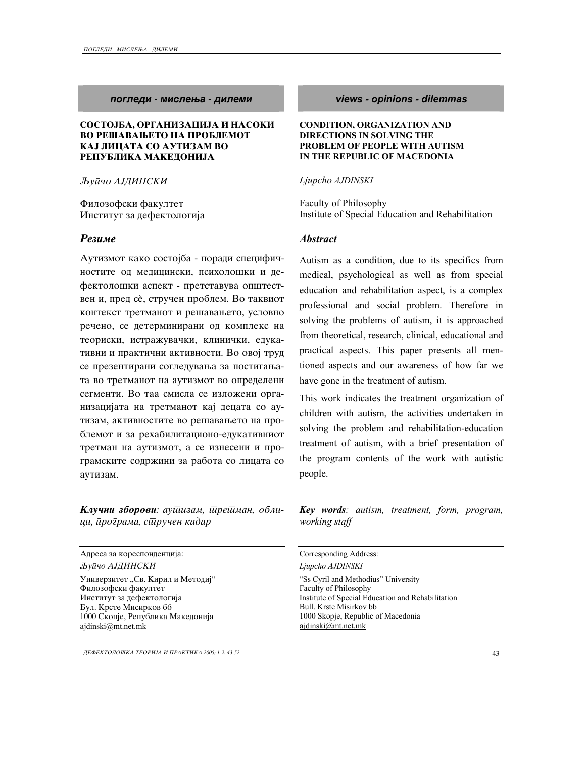#### *pogledi - mislewa - dilemi views - opinions - dilemmas*

#### СОСТОЈБА, ОРГАНИЗАЦИЈА И НАСОКИ ВО РЕШАВАЊЕТО НА ПРОБЛЕМОТ КАЈ ЛИЦАТА СО АУТИЗАМ ВО РЕПУБЛИКА МАКЕДОНИЈА

 $J$ **b**уūчо АЈДИНСКИ

Филозофски факултет Институт за дефектологија

Аутизмот како состојба - поради специфичностите од медицински, психолошки и дефектолошки аспект - претставува општествен и, пред сè, стручен проблем. Во таквиот контекст третманот и решавањето, условно речено, се детерминирани од комплекс на теориски, истражувачки, клинички, едукативни и практични активности. Во овој труд се презентирани согледувања за постигањата во третманот на аутизмот во определени сегменти. Во таа смисла се изложени организацијата на третманот кај децата со аутизам, активностите во решавањето на проблемот и за рехабилитационо-едукативниот третман на аутизмот, а се изнесени и програмските содржини за работа со лицата со аутизам.

**Клучни зборови**: аушизам, шрешман, обли*ci, programa, stru~en kadar* 

Agpeca за кореспонденција: Corresponding Address: *Qup~o AJDINSKI Ljupcho AJDINSKI* 

Универзитет "Св. Кирил и Методиј" Филозофски факултет Институт за дефектологија Бул. Крсте Мисирков бб 1000 Скопје, Република Македонија ajdinski@mt.net.mk

#### **CONDITION, ORGANIZATION AND DIRECTIONS IN SOLVING THE PROBLEM OF PEOPLE WITH AUTISM IN THE REPUBLIC OF MACEDONIA**

#### *Ljupcho AJDINSKI*

Faculty of Philosophy Institute of Special Education and Rehabilitation

#### *Rezime Abstract*

Autism as a condition, due to its specifics from medical, psychological as well as from special education and rehabilitation aspect, is a complex professional and social problem. Therefore in solving the problems of autism, it is approached from theoretical, research, clinical, educational and practical aspects. This paper presents all mentioned aspects and our awareness of how far we have gone in the treatment of autism.

This work indicates the treatment organization of children with autism, the activities undertaken in solving the problem and rehabilitation-education treatment of autism, with a brief presentation of the program contents of the work with autistic people.

*Key words: autism, treatment, form, program, working staff* 

"Ss Cyril and Methodius" University Faculty of Philosophy Institute of Special Education and Rehabilitation Bull. Krste Misirkov bb 1000 Skopje, Republic of Macedonia ajdinski@mt.net.mk

*DEFEKTOLO[KA TEORIJA I PRAKTIKA 2005; 1-2: 43-52* 43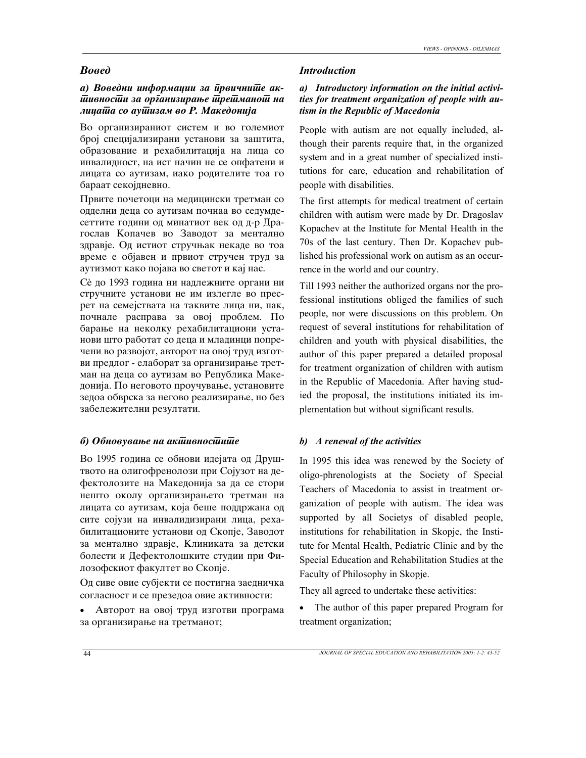# a) Воведни информации за *ирвичнише ак-* $\bar{u}$ ивнос $\bar{u}$ и за ор $\bar{\imath}$ анизирање  $\bar{u}$ ре $\bar{u}$ мано $\bar{u}$  на *licata so autizam vo R. Makedonija*

Во организираниот систем и во големиот број специјализирани установи за заштита, образование и рехабилитација на лица со инвалидност, на ист начин не се опфатени и лицата со аутизам, иако родителите тоа го бараат секојдневно.

Првите почетоци на медицински третман со одделни деца со аутизам почнаа во седумдесеттите години од минатиот век од д-р Драгослав Копачев во Заводот за ментално здравје. Од истиот стручњак некаде во тоа време е објавен и првиот стручен труд за аутизмот како појава во светот и кај нас.

Сè до 1993 година ни надлежните органи ни стручните установи не им излегле во пресрет на семејствата на таквите лица ни, пак, почнале расправа за овој проблем. По барање на неколку рехабилитациони установи што работат со деца и младинци попречени во развојот, авторот на овој труд изготви предлог - елаборат за организирање третман на деца со аутизам во Република Македонија. По неговото проучување, установите зедоа обврска за негово реализирање, но без забележителни резултати.

### *b*) *Oбновување на акшивносшише b) A renewal of the activities*

Во 1995 година се обнови идејата од Друштвото на олигофренолози при Сојузот на дефектолозите на Македонија за да се стори нешто околу организирањето третман на лицата со аутизам, која беше поддржана од сите сојузи на инвалидизирани лица, рехабилитационите установи од Скопје, Заводот за ментално здравје, Клиниката за детски болести и Дефектолошките студии при Филозофскиот факултет во Скопје.

Од сиве овие субјекти се постигна заедничка согласност и се презедоа овие активности:

• Авторот на овој труд изготви програма за организирање на третманот;

#### *Voxed Introduction*

# *a) Introductory information on the initial activities for treatment organization of people with autism in the Republic of Macedonia*

People with autism are not equally included, although their parents require that, in the organized system and in a great number of specialized institutions for care, education and rehabilitation of people with disabilities.

The first attempts for medical treatment of certain children with autism were made by Dr. Dragoslav Kopachev at the Institute for Mental Health in the 70s of the last century. Then Dr. Kopachev published his professional work on autism as an occurrence in the world and our country.

Till 1993 neither the authorized organs nor the professional institutions obliged the families of such people, nor were discussions on this problem. On request of several institutions for rehabilitation of children and youth with physical disabilities, the author of this paper prepared a detailed proposal for treatment organization of children with autism in the Republic of Macedonia. After having studied the proposal, the institutions initiated its implementation but without significant results.

In 1995 this idea was renewed by the Society of oligo-phrenologists at the Society of Special Teachers of Macedonia to assist in treatment organization of people with autism. The idea was supported by all Societys of disabled people, institutions for rehabilitation in Skopje, the Institute for Mental Health, Pediatric Clinic and by the Special Education and Rehabilitation Studies at the Faculty of Philosophy in Skopje.

They all agreed to undertake these activities:

• The author of this paper prepared Program for treatment organization;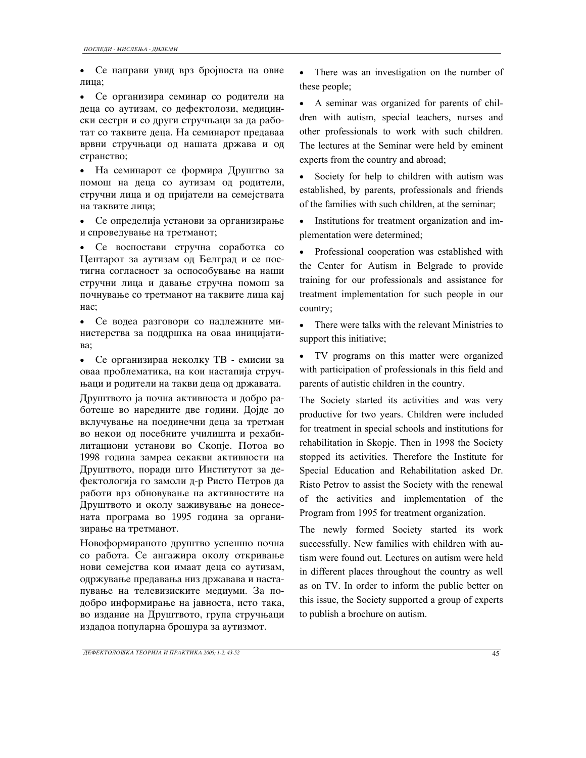• Се направи увид врз бројноста на овие лица;

• Се организира семинар со родители на деца со аутизам, со дефектолози, медицински сестри и со други стручњаци за да работат со таквите деца. На семинарот предаваа врвни стручњаци од нашата држава и од странство;

• На семинарот се формира Друштво за помош на деца со аутизам од родители, стручни лица и од пријатели на семејствата на таквите лица;

 $\bullet$  Се определија установи за организирање и спроведување на третманот;

• Се воспостави стручна соработка со Центарот за аутизам од Белград и се постигна согласност за оспособување на наши стручни лица и давање стручна помош за почнување со третманот на таквите лица кај Hac:

• Се водеа разговори со надлежните министерства за поддршка на оваа иницијати-Ba:

• Се организираа неколку ТВ - емисии за оваа проблематика, на кои настапија стручњаци и родители на такви деца од државата.

Друштвото ја почна активноста и добро работеше во наредните две години. Дојде до вклучување на поединечни деца за третман во некои од посебните училишта и рехабилитациони установи во Скопје. Потоа во 1998 година замреа секакви активности на Друштвото, поради што Институтот за дефектологија го замоли д-р Ристо Петров да работи врз обновување на активностите на Друштвото и околу заживување на донесената програма во 1995 година за организирање на третманот.

Новоформираното друштво успешно почна со работа. Се ангажира околу откривање нови семејства кои имаат деца со аутизам, одржување предавања низ државава и настапување на телевизиските медиуми. За подобро информирање на јавноста, исто така, во издание на Друштвото, група стручњаци издадоа популарна брошура за аутизмот.

• There was an investigation on the number of these people;

• A seminar was organized for parents of children with autism, special teachers, nurses and other professionals to work with such children. The lectures at the Seminar were held by eminent experts from the country and abroad;

• Society for help to children with autism was established, by parents, professionals and friends of the families with such children, at the seminar;

• Institutions for treatment organization and implementation were determined;

• Professional cooperation was established with the Center for Autism in Belgrade to provide training for our professionals and assistance for treatment implementation for such people in our country;

• There were talks with the relevant Ministries to support this initiative;

• TV programs on this matter were organized with participation of professionals in this field and parents of autistic children in the country.

The Society started its activities and was very productive for two years. Children were included for treatment in special schools and institutions for rehabilitation in Skopje. Then in 1998 the Society stopped its activities. Therefore the Institute for Special Education and Rehabilitation asked Dr. Risto Petrov to assist the Society with the renewal of the activities and implementation of the Program from 1995 for treatment organization.

The newly formed Society started its work successfully. New families with children with autism were found out. Lectures on autism were held in different places throughout the country as well as on TV. In order to inform the public better on this issue, the Society supported a group of experts to publish a brochure on autism.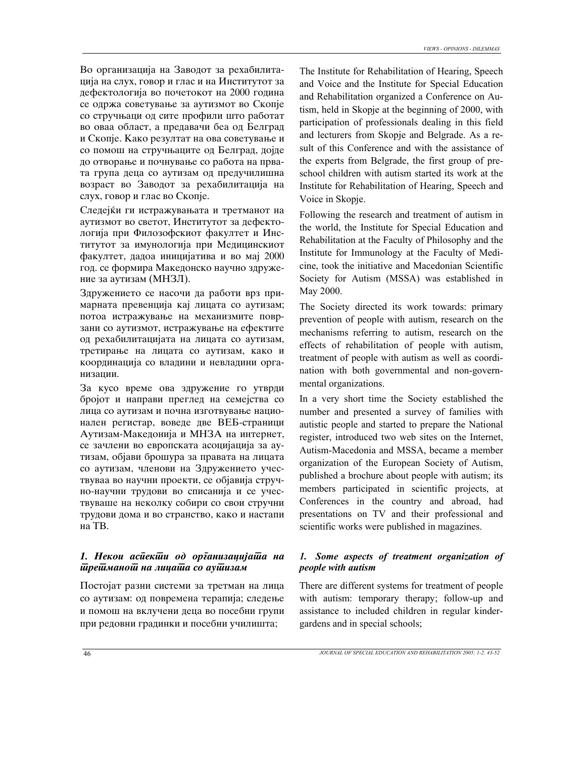Во организација на Заводот за рехабилитација на слух, говор и глас и на Институтот за дефектологија во почетокот на 2000 година се одржа советување за аутизмот во Скопје со стручњаци од сите профили што работат во оваа област, а предавачи беа од Белград и Скопје. Како резултат на ова советување и со помош на стручњаците од Белград, дојде до отворање и почнување со работа на првата група деца со аутизам од предучилишна возраст во Заводот за рехабилитација на слух, говор и глас во Скопје.

Следејќи ги истражувањата и третманот на аутизмот во светот, Институтот за дефектологија при Филозофскиот факултет и Институтот за имунологија при Медицинскиот факултет, дадоа иницијатива и во мај 2000 год. се формира Македонско научно здружение за аутизам (МНЗЛ).

Здружението се насочи да работи врз примарната превенција кај лицата со аутизам; потоа истражување на механизмите поврзани со аутизмот, истражување на ефектите од рехабилитацијата на лицата со аутизам, третирање на лицата со аутизам, како и координација со владини и невладини организации.

За кусо време ова здружение го утврди бројот и направи преглед на семејства со лица со аутизам и почна изготвување национален регистар, воведе две ВЕБ-страници Аутизам-Македонија и МНЗА на интернет, се зачлени во европската асоцијација за аутизам, објави брошура за правата на лицата со аутизам, членови на Здружението учествуваа во научни проекти, се објавија стручно-научни трудови во списанија и се учествуваше на неколку собири со свои стручни трудови дома и во странство, како и настапи на TB.

# 1. Некои асиекши од организацијаша на  $\bar{u}$ ре $\bar{u}$ мано $\bar{u}$  на лица $\bar{u}$ а со ау $\bar{u}$ изам

Постојат разни системи за третман на лица со аутизам: од повремена терапија; следење и помош на вклучени деца во посебни групи при редовни градинки и посебни училишта;

The Institute for Rehabilitation of Hearing, Speech and Voice and the Institute for Special Education and Rehabilitation organized a Conference on Autism, held in Skopje at the beginning of 2000, with participation of professionals dealing in this field and lecturers from Skopje and Belgrade. As a result of this Conference and with the assistance of the experts from Belgrade, the first group of preschool children with autism started its work at the Institute for Rehabilitation of Hearing, Speech and Voice in Skopje.

Following the research and treatment of autism in the world, the Institute for Special Education and Rehabilitation at the Faculty of Philosophy and the Institute for Immunology at the Faculty of Medicine, took the initiative and Macedonian Scientific Society for Autism (MSSA) was established in May 2000.

The Society directed its work towards: primary prevention of people with autism, research on the mechanisms referring to autism, research on the effects of rehabilitation of people with autism, treatment of people with autism as well as coordination with both governmental and non-governmental organizations.

In a very short time the Society established the number and presented a survey of families with autistic people and started to prepare the National register, introduced two web sites on the Internet, Autism-Macedonia and MSSA, became a member organization of the European Society of Autism, published a brochure about people with autism; its members participated in scientific projects, at Conferences in the country and abroad, had presentations on TV and their professional and scientific works were published in magazines.

# *1. Some aspects of treatment organization of people with autism*

There are different systems for treatment of people with autism: temporary therapy; follow-up and assistance to included children in regular kindergardens and in special schools;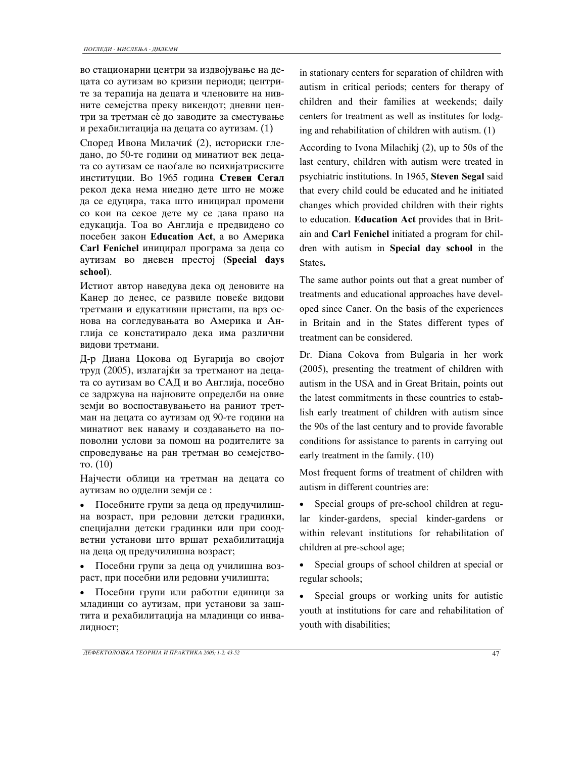во стационарни центри за издвојување на децата со аутизам во кризни периоди; центрите за терапија на децата и членовите на нивните семејства преку викендот; дневни центри за третман сè до заводите за сместување и рехабилитација на децата со аутизам.  $(1)$ 

Според Ивона Милачиќ (2), историски гледано, до 50-те години од минатиот век децата со аутизам се наоѓале во психијатриските институции. Во 1965 година Стевен Сегал рекол дека нема ниедно дете што не може да се едуцира, така што иницирал промени со кои на секое дете му се дава право на едукација. Тоа во Англија е предвидено со посебен закон Education Act, а во Америка Carl Fenichel иницирал програма за деца со ayTH3aM BO **ДН**евен престој (Special days **school**).

Истиот автор наведува дека од деновите на Канер до денес, се развиле повеќе видови третмани и едукативни пристапи, па врз основа на согледувањата во Америка и Англија се констатирало дека има различни видови третмани.

Д-р Диана Цокова од Бугарија во својот труд (2005), излагајќи за третманот на децата со аутизам во САД и во Англија, посебно се задржува на најновите определби на овие земји во воспоставувањето на раниот третман на децата со аутизам од 90-те години на минатиот век наваму и создавањето на поповолни услови за помош на родителите за спроведување на ран третман во семејство-To.  $(10)$ 

Најчести облици на третман на децата со аутизам во одделни земји се :

• Посебните групи за деца од предучилишна возраст, при редовни детски градинки, специјални детски градинки или при соодветни установи што вршат рехабилитација на деца од предучилишна возраст;

• Посебни групи за деца од училишна возраст, при посебни или редовни училишта;

• Посебни групи или работни единици за младинци со аутизам, при установи за заштита и рехабилитација на младинци со инвалидност;

in stationary centers for separation of children with autism in critical periods; centers for therapy of children and their families at weekends; daily centers for treatment as well as institutes for lodging and rehabilitation of children with autism. (1)

According to Ivona Milachikj (2), up to 50s of the last century, children with autism were treated in psychiatric institutions. In 1965, **Steven Segal** said that every child could be educated and he initiated changes which provided children with their rights to education. **Education Act** provides that in Britain and **Carl Fenichel** initiated a program for children with autism in **Special day school** in the States**.** 

The same author points out that a great number of treatments and educational approaches have developed since Caner. On the basis of the experiences in Britain and in the States different types of treatment can be considered.

Dr. Diana Cokova from Bulgaria in her work (2005), presenting the treatment of children with autism in the USA and in Great Britain, points out the latest commitments in these countries to establish early treatment of children with autism since the 90s of the last century and to provide favorable conditions for assistance to parents in carrying out early treatment in the family. (10)

Most frequent forms of treatment of children with autism in different countries are:

• Special groups of pre-school children at regular kinder-gardens, special kinder-gardens or within relevant institutions for rehabilitation of children at pre-school age;

• Special groups of school children at special or regular schools;

• Special groups or working units for autistic youth at institutions for care and rehabilitation of youth with disabilities;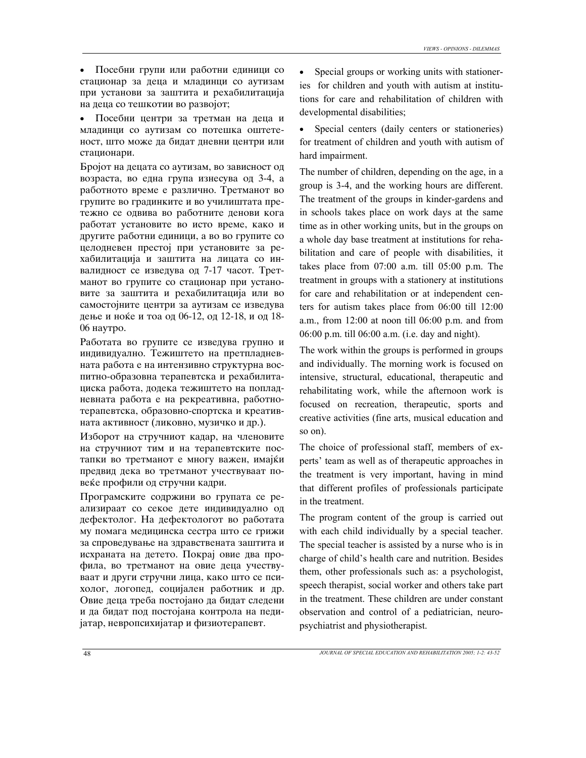• Посебни групи или работни единици со стационар за деца и младинци со аутизам при установи за заштита и рехабилитација на деца со тешкотии во развојот;

• Посебни центри за третман на деца и младинци со аутизам со потешка оштетеност, што може да бидат дневни центри или стационари.

Бројот на децата со аутизам, во зависност од возраста, во една група изнесува од 3-4, а работното време е различно. Третманот во групите во градинките и во училиштата претежно се одвива во работните денови кога работат установите во исто време, како и другите работни единици, а во во групите со целодневен престој при установите за рехабилитација и заштита на лицата со инвалидност се изведува од 7-17 часот. Третманот во групите со стационар при установите за заштита и рехабилитација или во самостојните центри за аутизам се изведува дење и ноќе и тоа од 06-12, од 12-18, и од 18-06 наутро.

Работата во групите се изведува групно и индивидуално. Тежиштето на претпладневната работа е на интензивно структурна воспитно-образовна терапевтска и рехабилитациска работа, додека тежиштето на попладневната работа е на рекреативна, работнотерапевтска, образовно-спортска и креативната активност (ликовно, музичко и др.).

Изборот на стручниот кадар, на членовите на стручниот тим и на терапевтските постапки во третманот е многу важен, имајќи предвид дека во третманот учествуваат повеќе профили од стручни кадри.

Програмските содржини во групата се реализираат со секое дете индивидуално од дефектолог. На дефектологот во работата му помага медицинска сестра што се грижи за спроведување на здравствената заштита и исхраната на детето. Покрај овие два профила, во третманот на овие деца учествуваат и други стручни лица, како што се психолог, логопед, социјален работник и др. Овие деца треба постојано да бидат следени и да бидат под постојана контрола на педијатар, невропсихијатар и физиотерапевт.

• Special groups or working units with stationeries for children and youth with autism at institutions for care and rehabilitation of children with developmental disabilities;

• Special centers (daily centers or stationeries) for treatment of children and youth with autism of hard impairment.

The number of children, depending on the age, in a group is 3-4, and the working hours are different. The treatment of the groups in kinder-gardens and in schools takes place on work days at the same time as in other working units, but in the groups on a whole day base treatment at institutions for rehabilitation and care of people with disabilities, it takes place from 07:00 a.m. till 05:00 p.m. The treatment in groups with a stationery at institutions for care and rehabilitation or at independent centers for autism takes place from 06:00 till 12:00 a.m., from 12:00 at noon till 06:00 p.m. and from 06:00 p.m. till 06:00 a.m. (i.e. day and night).

The work within the groups is performed in groups and individually. The morning work is focused on intensive, structural, educational, therapeutic and rehabilitating work, while the afternoon work is focused on recreation, therapeutic, sports and creative activities (fine arts, musical education and so on).

The choice of professional staff, members of experts' team as well as of therapeutic approaches in the treatment is very important, having in mind that different profiles of professionals participate in the treatment.

The program content of the group is carried out with each child individually by a special teacher. The special teacher is assisted by a nurse who is in charge of child's health care and nutrition. Besides them, other professionals such as: a psychologist, speech therapist, social worker and others take part in the treatment. These children are under constant observation and control of a pediatrician, neuropsychiatrist and physiotherapist.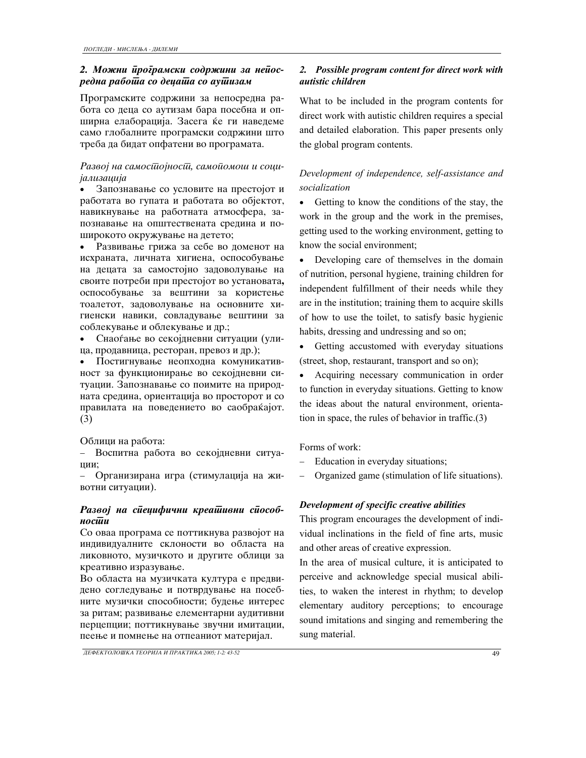# 2. Можни *йроїрамски содржини за нейосredna rabota so decata so autizam*

Програмските содржини за непосредна работа со деца со аутизам бара посебна и опширна елаборација. Засега ќе ги наведеме само глобалните програмски содржини што треба да бидат опфатени во програмата.

# Развој на самосииојносии, самоиомош и соци*jalizacija*

Запознавање со условите на престојот и работата во гупата и работата во објектот, навикнување на работната атмосфера, запознавање на општествената средина и поширокото окружување на детето;

• Развивање грижа за себе во доменот на исхраната, личната хигиена, оспособување на децата за самостојно задоволување на своите потреби при престојот во установата, оспособување за вештини за користење тоалетот, задоволување на основните хигиенски навики, совладување вештини за соблекување и облекување и др.;

• Снаоѓање во секојдневни ситуации (улица, продавница, ресторан, превоз и др.);

• Постигнување неопходна комуникативност за функционирање во секојдневни ситуации. Запознавање со поимите на природната средина, ориентација во просторот и со правилата на поведението во саобраќајот. (3)

Облици на работа:

- Воспитна работа во секојдневни ситуации;

- Организирана игра (стимулација на животни ситуации).

# Развој на сиецифични креашивни сиособ**носійи**

Со оваа програма се поттикнува развојот на индивидуалните склоности во областа на ликовното, музичкото и другите облици за креативно изразување.

Во областа на музичката култура е предвидено согледување и потврдување на посебните музички способности; будење интерес за ритам; развивање елементарни аудитивни перцепции; поттикнување звучни имитации, пеење и помнење на отпеаниот материјал.

# *2. Possible program content for direct work with autistic children*

What to be included in the program contents for direct work with autistic children requires a special and detailed elaboration. This paper presents only the global program contents.

# *Development of independence, self-assistance and socialization*

• Getting to know the conditions of the stay, the work in the group and the work in the premises, getting used to the working environment, getting to know the social environment;

• Developing care of themselves in the domain of nutrition, personal hygiene, training children for independent fulfillment of their needs while they are in the institution; training them to acquire skills of how to use the toilet, to satisfy basic hygienic habits, dressing and undressing and so on;

• Getting accustomed with everyday situations (street, shop, restaurant, transport and so on);

• Acquiring necessary communication in order to function in everyday situations. Getting to know the ideas about the natural environment, orientation in space, the rules of behavior in traffic.(3)

Forms of work:

- − Education in everyday situations;
- − Organized game (stimulation of life situations).

# *Development of specific creative abilities*

This program encourages the development of individual inclinations in the field of fine arts, music and other areas of creative expression.

In the area of musical culture, it is anticipated to perceive and acknowledge special musical abilities, to waken the interest in rhythm; to develop elementary auditory perceptions; to encourage sound imitations and singing and remembering the sung material.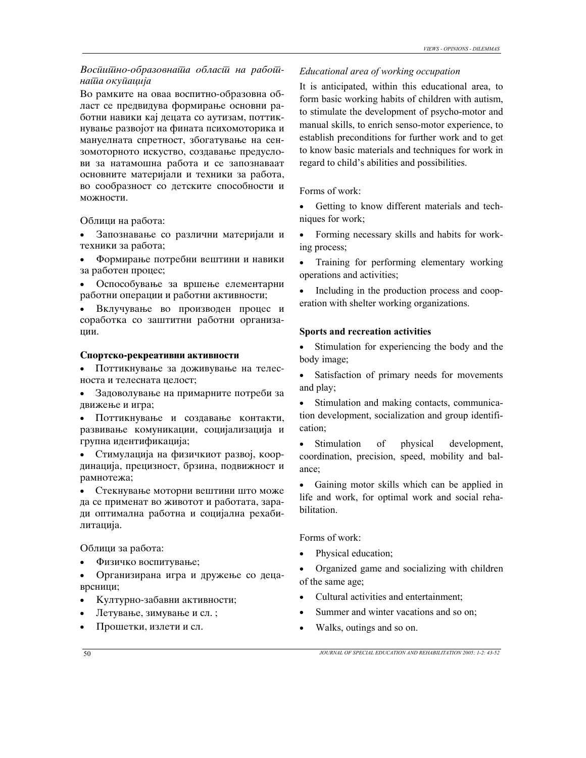## Восиишно-образовнаша обласш на рабош*nata okupacija*

Во рамките на оваа воспитно-образовна област се предвидува формирање основни работни навики кај децата со аутизам, поттикнување развојот на фината психомоторика и мануелната спретност, збогатување на сензомоторното искуство, создавање предуслови за натамошна работа и се запознаваат основните материјали и техники за работа, во сообразност со детските способности и можности.

Облици на работа:

• Запознавање со различни материјали и техники за работа;

• Формирање потребни вештини и навики за работен процес;

• Оспособување за вршење елементарни работни операции и работни активности;

• Вклучување во производен процес и соработка со заштитни работни организации.

#### Спортско-рекреативни активности

• Поттикнување за доживување на телесноста и телесната целост;

• Задоволување на примарните потреби за движење и игра;

• Поттикнување и создавање контакти, развивање комуникации, социјализација и групна идентификација;

• Стимулација на физичкиот развој, координација, прецизност, брзина, подвижност и рамнотежа;

• Стекнување моторни вештини што може да се применат во животот и работата, заради оптимална работна и социјална рехабилитација.

Облици за работа:

• Физичко воспитување;

Организирана игра и дружење со децаврсници;

- Културно-забавни активности;
- Летување, зимување и сл. ;
- Прошетки, излети и сл.

# *Educational area of working occupation*

It is anticipated, within this educational area, to form basic working habits of children with autism, to stimulate the development of psycho-motor and manual skills, to enrich senso-motor experience, to establish preconditions for further work and to get to know basic materials and techniques for work in regard to child's abilities and possibilities.

Forms of work:

• Getting to know different materials and techniques for work;

• Forming necessary skills and habits for working process;

• Training for performing elementary working operations and activities;

Including in the production process and cooperation with shelter working organizations.

## **Sports and recreation activities**

• Stimulation for experiencing the body and the body image;

• Satisfaction of primary needs for movements and play;

• Stimulation and making contacts, communication development, socialization and group identification;

• Stimulation of physical development, coordination, precision, speed, mobility and balance;

• Gaining motor skills which can be applied in life and work, for optimal work and social rehabilitation.

Forms of work:

Physical education;

• Organized game and socializing with children of the same age;

- Cultural activities and entertainment;
- Summer and winter vacations and so on;
- Walks, outings and so on.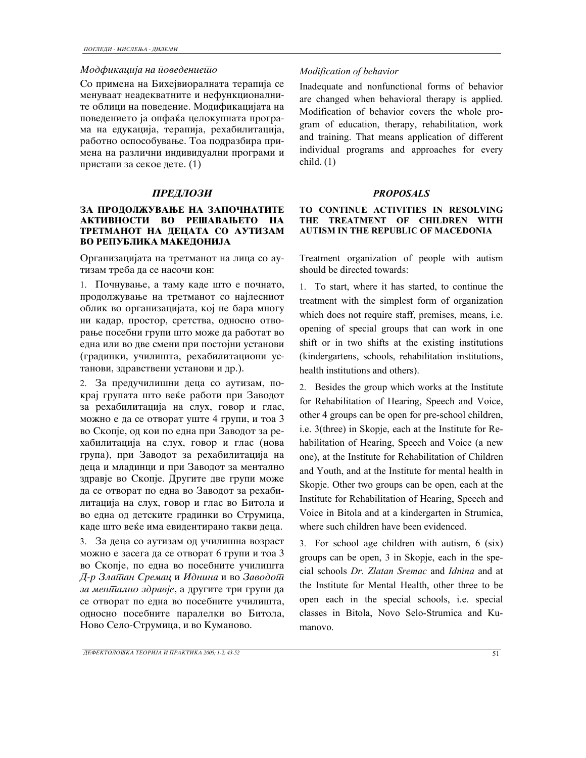#### *Modfikacija na povedenieto*

Со примена на Бихејвиоралната терапија се менуваат неадекватните и нефункционалните облици на поведение. Модификацијата на поведението ја опфаќа целокупната програма на едукација, терапија, рехабилитација, работно оспособување. Тоа подразбира примена на различни индивидуални програми и пристапи за секое дете.  $(1)$ 

### *PREDLOZI PROPOSALS*

### ЗА ПРО**ЛОЛЖУВАЊЕ НА ЗАПОЧНАТИТЕ** АКТИВНОСТИ ВО РЕШАВАЊЕТО НА **TPETMAHOT HA ДЕЦАТА СО АУТИЗАМ** ВО РЕПУБЛИКА МАКЕДОНИЈА

Организацијата на третманот на лица со аутизам треба да се насочи кон:

1. Почнување, а таму каде што е почнато, продолжување на третманот со најлесниот облик во организацијата, кој не бара многу ни кадар, простор, сретства, односно отворање посебни групи што може да работат во една или во две смени при постојни установи (градинки, училишта, рехабилитациони установи, здравствени установи и др.).

2. За предучилишни деца со аутизам, покрај групата што веќе работи при Заводот за рехабилитација на слух, говор и глас, можно е да се отворат уште 4 групи, и тоа 3 во Скопје, од кои по една при Заводот за рехабилитација на слух, говор и глас (нова група), при Заводот за рехабилитација на деца и младинци и при Заводот за ментално здравје во Скопје. Другите две групи може да се отворат по една во Заводот за рехабилитација на слух, говор и глас во Битола и во една од детските градинки во Струмица, каде што веќе има евидентирано такви деца.

3. За деца со аутизам од училишна возраст можно е засега да се отворат 6 групи и тоа  $3$ во Скопје, по една во посебните училишта  $\mu$ -р Злашан Сремац и Иднина и во Заводош за мен*шално здравје*, а другите три групи да се отворат по една во посебните училишта, односно посебните паралелки во Битола, Ново Село-Струмица, и во Куманово.

# *Modification of behavior*

Inadequate and nonfunctional forms of behavior are changed when behavioral therapy is applied. Modification of behavior covers the whole program of education, therapy, rehabilitation, work and training. That means application of different individual programs and approaches for every child. (1)

### **TO CONTINUE ACTIVITIES IN RESOLVING THE TREATMENT OF CHILDREN WITH AUTISM IN THE REPUBLIC OF MACEDONIA**

Treatment organization of people with autism should be directed towards:

1. To start, where it has started, to continue the treatment with the simplest form of organization which does not require staff, premises, means, i.e. opening of special groups that can work in one shift or in two shifts at the existing institutions (kindergartens, schools, rehabilitation institutions, health institutions and others).

2. Besides the group which works at the Institute for Rehabilitation of Hearing, Speech and Voice, other 4 groups can be open for pre-school children, i.e. 3(three) in Skopje, each at the Institute for Rehabilitation of Hearing, Speech and Voice (a new one), at the Institute for Rehabilitation of Children and Youth, and at the Institute for mental health in Skopje. Other two groups can be open, each at the Institute for Rehabilitation of Hearing, Speech and Voice in Bitola and at a kindergarten in Strumica, where such children have been evidenced.

3. For school age children with autism, 6 (six) groups can be open, 3 in Skopje, each in the special schools *Dr. Zlatan Sremac* and *Idnina* and at the Institute for Mental Health, other three to be open each in the special schools, i.e. special classes in Bitola, Novo Selo-Strumica and Kumanovo.